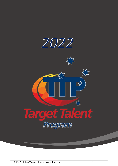

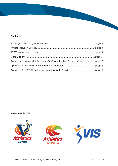### **Contents**

| Appendix 1 - World Athletics Under-20 Championships Selection Standards page 7 |  |
|--------------------------------------------------------------------------------|--|
|                                                                                |  |
|                                                                                |  |

### **In partnership with**

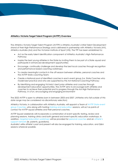### **Athletics Victoria Target Talent Program (AVTTP) Overview**

The Athletics Victoria Target Talent Program (AVTTP) is Athletics Australia's initial Talent Development strand of their High-Performance Strategy and is delivered in partnership with Athletics Victoria (AV), Athletics Australia (AA) and the Victorian Institute of Sport (VIS). The TTP has been established to:

- Act as the early talent identification component of Athletics Australia's High-Performance Pathway;
- Inspire the best young athletes in the State by inviting them to be part of a State squad and participate in enhanced development opportunities;
- Encourage, continually challenge and develop the best local coaches through recognition and performance-based coaching workshops;
- To create meaningful contacts in the off-season between athletes, personal coaches and the AVTTP State coaching Team;
- Create a National pool of identified coaches in each event group (i.e. State Coaches who model best practice and who are supported by the AA National Coaching Pathway;
- By identifying and engaging Victoria's best junior athletes and coaches through development education opportunities. The AVTTP aims to encourage both athletes and coaches to achieve their potential and to progress through the AA High Performance Pathway, in a fun, encouraging and engaging environment

The 2022 AVTTP is open to athletes born in between 2003 and 2007. *(Athletes who fall outside of this date range may be considered via discretionary selection).*

Athletics Victoria, in collaboration with Athletics Australia, will appoint a Team of AVTTP State event group Coaches, who along with hosting training and education sessions, will act as points of contact for AVTTP squad athletes and their personal coaches.

AVTTP Squad weekends will incorporate a combination of event specific testing, review and planning sessions, training clinics and both general and event-specific education workshops. In addition, targeted education workshops will be provided for personal coaches and an athlete's support network (ie. parents, guardians).

Australia's elite athlete's past and present will also be engaged for training, education, and Q&A sessions wherever possible.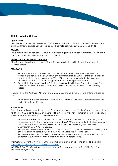### **Athlete Invitation Criteria**

#### *Squad Period*

The 2022 AVTTP Squad will be selected following the conclusion of the 2022 Athletics Australia Track and Field Championships. Squad weekends will be held between July and October 2022.

#### *Eligibility*

To be eligible for inclusion athletes must be a current registered member of Athletics Victoria and be born in 2003/04(U20), 2005(U18), 2006(U17) or 2007(U16).

#### **Athletics Australia Invitation Standards**

Athletics Australia will send a personal invitation to any athlete and their coach who meet the following criteria.

#### *Able-Bodied*

- 1. Any AV athlete who achieves the World Athletics Under-20 Championships selection standard (*Appendix 2*) as an under-20 athlete from October 1, 2021. For the avoidance of doubt, an athlete who, as an under-20 in 2021, achieves the World Athletics standard may be invited to TTP in 2022, even though the athlete is no longer an Under-20.
- 2. Any athlete that achieves a top-3 finish at the Australian National Championships at Open, Under-20, Under-18, Under-17, or Under-16 level, and is still an under-20 in the following season.

In years where the Australian All Schools Championships are held; the following criteria will also be used:

3. Any athlete that achieves a top-3 finish at the Australian All-Schools Championships at the Under-18 or Under-16 level.

#### *Para-Athletes*

Para athletes will only be invited in events for which they have a classification/event pathway at the next Senior BME. In some cases, an athlete will be invited if they have demonstrated the capacity to meet the selection criteria via an alternative event.

- 1. Any Under-21 Para Athlete that achieves 75% of the AA "B" Standard (*Appendix 3*) in the preceding year. For the avoidance of doubt, the AA "B" Standard will refer to the major BME of that year. For example, TTP invitations in 2022 will be utilised using the 2022 World Para Championships - AA "B" Standards.
- 2. Any Under-21 Para Athlete that can provide 2+ years of progression data demonstrating that athlete's ability to achieve 75% of the AA "B" Standard the following year.
- 3. Any Para Athlete aged 15-20 who demonstrates performance improvements similar to, or better than, current International medallists at a comparative age.

Information on events which are on the Paralympic Program can be found at the following link <https://www.athletics.com.au/paralympic-games/>

*(NB: 2020 Tokyo Standards have been used, due to the postponement of the 2022 World Para Athletics Championship)*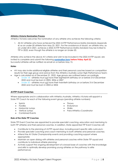#### **Athletics Victoria Nomination Process**

Athletics Victoria welcomes the nomination of any athlete who achieves the following criteria;

1. All AV athletes who have achieved the 2022 AVTTP Performance Matrix standards *(Appendix 4)* as an under-20 athlete from May 22, 2021. For the avoidance of doubt, an athlete who, as an under-20 in 2021, achieves a 2022 AVTTP Performance Matrix standard may be invited to TTP in 2022, even though the athlete is no longer an Under-20.

Athletes who achieve the above AV criteria and wish to be included in the 2022 AVTTP squad, are invited to complete and submit the following **[nomination form](https://forms.gle/zJFuNHz1vGHRpM1T6) before Friday April 22**. Successful athletes will be notified via email on or before May 15.

#### *Notes*

- AV may also invite additional eligible athletes and their personal coaches based on competition results for their age group and advice from the Athletics Australia Junior High-Performance Team;
	- Age is calculated as of December 31, 2022. Age groups are outlined below accordingly.
		- Under 18 athletes must not have their eighteenth birthday on or before 31st December 2022 and must be born in 2005, 2006 or 2007
		- Under 20 athletes must not have their twentieth birthday on or before 31st December 2022 and must be born in 2003 or 2004

#### **AVTTP Event Coaches**

Where appropriate and in collaboration with Athletics Australia, Athletics Victoria will appoint a State TTP Coach for each of the following event groups (pending athlete numbers):

- Sprints Throws
- Hurdles Endurance
- Horizontal Jumps Walks
- Vertical Jumps
- Combined Events

#### *Role of the State TTP Coaches*

State TTP Event Coaches are appointed to provide specialist coaching, education and mentoring to both TTP athletes and their personal coaches. In addition, State appointed TTP Event Coaches will:

• Para-Athletics Coordinator

- Contribute to the planning of AVTTP squad days, including event specific skills curriculum;
- Provide specialist coaching and coach mentoring to both athletes and personal coaches;
- Attend the AV State Championship events and providing coaching support where appropriate;
- Maintain an open dialog with athletes and personal coaches within State TTP squad and contribute to individual athlete planning;
- Actively support the ongoing development of a broad base of coaches with the knowledge and skills to optimally develop promising young athletes on the pathway to elite performance;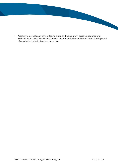• Assist in the collection of athlete testing data, and working with personal coaches and National event leads, identify and provide recommendation for the continued development of an athletes individual performance plan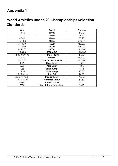# **Appendix 1**

# **World Athletics Under-20 Championships Selection Standards**

| Men            | Event                         | Women    |
|----------------|-------------------------------|----------|
| 10.60          | 100m                          | 11.90    |
| 21.40          | 200m                          | 24.40    |
| 47.60          | 400m                          | 55.20    |
| 1:51.00        | 800m                          | 2:09.00  |
| 3:48.50        | 1500m                         | 4:29.00  |
| 8:15.00        | 3000m                         | 9:32.00  |
| 14:15.00       | 5000m                         | 16:40.00 |
| 9:08.00        | 3000m SC                      | 10:36.00 |
| 14.20 (0.991m) | 110mH/100mH                   | 14.20    |
| 53.20          | 400mH                         | 1:01.00  |
| 43:50.00       | 10,000m Race Walk             | 50:40.00 |
| 2.15           | <b>High Jump</b>              | 1.81     |
| 5.05           | <b>Pole Vault</b>             | 4.05     |
| 7.55           | Long Jump                     | 6.12     |
| 15.55          | <b>Triple Jump</b>            | 12.85    |
| 18.20 (6kg)    | Shot Put                      | 14.50    |
| 56.50 (1.75kg) | <b>Discus Throw</b>           | 48.50    |
| 68.30 (6kg)    | <b>Hammer Throw</b>           | 57.50    |
| 69.00          | <b>Javelin Throw</b>          | 50.00    |
| 7050           | <b>Decathlon / Heptathlon</b> | 5300     |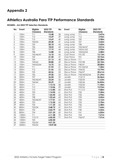# **Appendix 2**

# **Athletics Australia Para TTP Performance Standards**

#### **WOMEN – AA 2022 TTP Selection Standards**

| No.                      | Event | Eligible        | 2022 TTP         | No. | Event               | Eligible         | 2022 TTP         |  |
|--------------------------|-------|-----------------|------------------|-----|---------------------|------------------|------------------|--|
|                          |       | Class(es)       | <b>Standards</b> |     |                     | Class(es)        | <b>Standards</b> |  |
| $\mathbf{I}$             | 100m  | T11             | 15.48            | 38  | Long Jump           | T11              | 3.47m            |  |
| $\overline{2}$           | 100m  | T12             | 15.29            | 39  | Long Jump           | T12              | 3.92m            |  |
| 3                        | 100m  | <b>T13</b>      | 15.69            | 40  | Long Jump           | <b>T20</b>       | 3.98m            |  |
| $\overline{\mathcal{A}}$ | 100m  | T33/34          | 24.38            | 41  | Long Jump           | $\overline{137}$ | 3.22m            |  |
| $\overline{5}$           | 100m  | <b>T35</b>      | 20.10            | 42  | Long Jump           | <b>T38</b>       | 3.42m            |  |
| $\boldsymbol{6}$         | 100m  | T36             | 18.53            | 43  | Long Jump           | T45/46/47        | 4.01m            |  |
| $\overline{7}$           | 100m  | <b>T37</b>      | 17.19            | 44  | Long Jump           | T42/61/63        | 2.93m            |  |
| 8                        | 100m  | <b>T38</b>      | 16.88            | 45  | Long Jump           | T44/62/64        | 3.58m            |  |
| 9                        | 100m  | T45/46/47       | 16.10            | 46  | Club Throw          | F31/32           | 13.13m           |  |
| 10                       | 100m  | <b>T53</b>      | 21.50            | 47  | Club Throw          | F51              | 10.76m           |  |
| 11                       | 100m  | T <sub>54</sub> | 21.13            | 48  | Discus Throw        | F11              | 22.38m           |  |
| 12                       | 100m  | T42/63          | 20.80            | 49  | <b>Discus Throw</b> | F37/38           | 22.10m           |  |
| 13                       | 100m  | T44/62/64       | 16.75            | 50  | Discus Throw        | F40/41           | 20.00m           |  |
| 14                       | 200m  | T11             | 31.95            | 51  | Discus Throw        | F51/52/53        | 7.30m            |  |
| 15                       | 200m  | T12             | 31.56            | 52  | Discus Throw        | F54/55           | 15.79m           |  |
| 16                       | 200m  | <b>T35</b>      | 42.26            | 53  | Discus Throw        | F56/57           | 20.61m           |  |
| 17                       | 200m  | T <sub>36</sub> | 39.50            | 54  | Discus Throw        | F43/44/62/64     | 21.69m           |  |
| 18                       | 200m  | <b>T37</b>      | 36.04            | 55  | Javelin             | F12/13           | 26.06m           |  |
| 19                       | 200m  | T45/46/47       | 33.24            | 56  | Javelin             | F33/34           | 11.63m           |  |
| 20                       | 200m  | T44/64          | 35.29            | 57  | Javelin             | F45/46           | 26.83m           |  |
| 21                       | 400m  | T11             | 1:13.76          | 58  | Javelin             | F53/54           | 11.44m           |  |
| 22                       | 400m  | T12             | 1:14.06          | 59  | Javelin             | F55/56           | 13.93m           |  |
| 23                       | 400m  | <b>T13</b>      | 1:12.85          | 60  | Shot Put            | F11/12           | 9.00m            |  |
| 24                       | 400m  | <b>T20</b>      | 1:14.05          | 61  | Shot Put            | F <sub>20</sub>  | 9.30m            |  |
| 25                       | 400m  | <b>T37</b>      | 1:23.45          | 62  | Shot Put            | F32              | 3.94m            |  |
| 26                       | 400m  | <b>T38</b>      | 1:22.64          | 63  | Shot Put            | F33              | 4.42m            |  |
| 27                       | 400m  | T45/46/47       | 1:17.01          | 64  | Shot Put            | F34              | 5.16m            |  |
| 28                       | 400m  | <b>T53</b>      | 1:12.50          | 65  | Shot Put            | F35              | 5.70m            |  |
| 29                       | 400m  | T <sub>54</sub> | 1:11.25          | 66  | Shot Put            | F36              | 6.38m            |  |
| 30                       | 800m  | T33/34          | 2:48.75          | 67  | Shot Put            | F37              | 7.64m            |  |
| 31                       | 800m  | <b>T53</b>      | 2:22.79          | 68  | Shot Put            | F40              | 5.32m            |  |
| 32                       | 800m  | T <sub>54</sub> | 2:21.25          | 69  | Shot Put            | F41              | 6.05m            |  |
| 33                       | 1500m | T11             | 6:11.58          | 70  | Shot Put            | F <sub>54</sub>  | 7.21m            |  |
| 34                       | 1500m | T12/13          | 6:02.50          | 71  | Shot Put            | F56/57           | 7.21m            |  |
| 35                       | 1500m | T <sub>20</sub> | 6:02.50          |     |                     |                  |                  |  |
| 36                       | 1500m | T53/54          | 4:21.25          |     |                     |                  |                  |  |
| 37                       | 5000m | T53/54          | 14:47.50         |     |                     |                  |                  |  |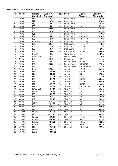#### **MEN – AA 2022 TTP Selection Standards**

| No.                      | Event | Eligible        | 2022 TTP         | No. | Event        | Eligible        | 2022 TTP           |  |  |
|--------------------------|-------|-----------------|------------------|-----|--------------|-----------------|--------------------|--|--|
|                          |       | Class(es)       | <b>Standards</b> |     |              | Class(es)       | <b>Standards</b>   |  |  |
| 1                        | 100m  | T11             | 14.28            | 47  | Long Jump    | T11             | 4.62m              |  |  |
| $\overline{2}$           | 100m  | <b>T12</b>      | 13.73            | 48  | Long Jump    | T12             | 5.18m              |  |  |
| $\overline{3}$           | 100m  | <b>T13</b>      | 13.91            | 49  | Long Jump    | <b>T13</b>      | 5.04m              |  |  |
| $\overline{\mathcal{A}}$ | 100m  | <b>T33</b>      | 25.01            | 50  | Long Jump    | T <sub>20</sub> | $\overline{5.12m}$ |  |  |
| $\overline{5}$           | 100m  | <b>T34</b>      | 20.00            | 51  | Long Jump    | T36             | 4.07m              |  |  |
| $\overline{6}$           | 100m  | <b>T35</b>      | 16.24            | 52  | Long Jump    | T37             | 4.37m              |  |  |
| $\overline{7}$           | 100m  | T36             | 15.36            | 53  | Long Jump    | <b>T38</b>      | 4.49m              |  |  |
| $\,8\,$                  | 100m  | <b>T37</b>      | 14.63            | 54  | Long Jump    | T45/46/47       | 5.18m              |  |  |
| 9                        | 100m  | <b>T38</b>      | 14.30            | 55  | Long Jump    | T42/61/63       | 4.19m              |  |  |
| 10                       | 100m  | T45/46/47       | 13.96            | 56  | Long Jump    | T44/62/64       | 4.91m              |  |  |
| 11                       | 100m  | T51             | 28.61            | 57  | High Jump    | T45/46/47       | 1.42m              |  |  |
| 12                       | 100m  | <b>T52</b>      | 22.24            | 58  | High Jump    | T42/63          | 1.32m              |  |  |
| 13                       | 100m  | <b>T53</b>      | 18.69            | 59  | High Jump    | T44/64          | 1.39m              |  |  |
| 14                       | 100m  | <b>T54</b>      | 18.00            | 60  | Club Throw   | F31/32          | 23.60m             |  |  |
| 15                       | 100m  | T42/63          | 15.76            | 61  | Club Throw   | F51             | 21.29m             |  |  |
| 16                       | 100m  | T44/62/64       | 14.25            | 62  | Discus Throw | F11             | 27.78m             |  |  |
| 17                       | 200m  | <b>T35</b>      | 34.48            | 63  | Discus Throw | F37             | 36.44m             |  |  |
| 18                       | 200m  | <b>T37</b>      | 29.43            | 64  | Discus Throw | F51/52          | 13.22m             |  |  |
| 19                       | 200m  | T51             | 53.88            | 65  | Discus Throw | F54/55/56       | 29.12m             |  |  |
| 20                       | 200m  | T61             | 31.75            | 66  | Discus Throw | F43/44/62/64    | 37.79m             |  |  |
| 21                       | 200m  | T44/64          | 29.05            | 67  | Javelin      | F12/13          | 43.61m             |  |  |
| 22                       | 400m  | T11             | 1:05.55          | 68  | Javelin      | F33/34          | 21.34m             |  |  |
| 23                       | 400m  | T12             | 1:02.50          | 69  | Javelin      | F38             | 34.98m             |  |  |
| 24                       | 400m  | <b>T13</b>      | 1:03.46          | 70  | Javelin      | F40/41          | 28.22m             |  |  |
| 25                       | 400m  | T <sub>20</sub> | 1:01.69          | 71  | Javelin      | F45/46          | 43.04m             |  |  |
| 26                       | 400m  | T36             | 1:11.53          | 72  | Javelin      | F53/54          | 20.08m             |  |  |
| 27                       | 400m  | <b>T37</b>      | 1:07.50          | 73  | Javelin      | F56/57          | 31.43m             |  |  |
| 28                       | 400m  | <b>T38</b>      | 1:06.44          | 74  | Javelin      | F42-44,61-64    | 40.11m             |  |  |
| 29                       | 400m  | T45/46/47       | 1:01.93          | 75  | Shot Put     | F11             | 10.74m             |  |  |
| 30                       | 400m  | T51/52          | 1:19.38          | 76  | Shot Put     | F12             | 11.04m             |  |  |
| 31                       | 400m  | <b>T53</b>      | 1:02.50          | 77  | Shot Put     | F <sub>20</sub> | 11.64m             |  |  |
| 32                       | 400m  | T <sub>54</sub> | 59.38            | 78  | Shot Put     | F32             | 6.95m              |  |  |
| 33                       | 400m  | T62             | 1:07.18          | 79  | Shot Put     | F33             | 7.43m              |  |  |
| 34                       | 800m  | T33/34          | 2:15.00          | 80  | Shot Put     | F34             | 8.16m              |  |  |
| 35                       | 800m  | <b>T53</b>      | 2:05.00          | 81  | Shot Put     | F35             | 10.15m             |  |  |
| 36                       | 800m  | T <sub>54</sub> | 2:00.00          | 82  | Shot Put     | F36             | 9.68m              |  |  |
| 37                       | 1500m | T11             | 5:18.88          | 83  | Shot Put     | F37             | 10.09m             |  |  |
| 38                       | 1500m | T12/13          | 4:56.25          | 84  | Shot Put     | F40             | 7.04m              |  |  |
| 39                       | 1500m | T <sub>20</sub> | 4:57.73          | 85  | Shot Put     | F41             | 8.43m              |  |  |
| 40                       | 1500m | T37/38          | 5:28.61          | 86  | Shot Put     | F45/46          | 11.03m             |  |  |
| 41                       | 1500m | T45/46          | 5:00.96          | 87  | Shot Put     | F <sub>53</sub> | 5.33m              |  |  |
| 42                       | 1500m | T51/52          | 4:51.85          | 88  | Shot Put     | F54/55          | 8.32m              |  |  |
| 43                       | 1500m | T53/54          | 3:47.50          | 89  | Shot Put     | F56/57          | 10.43m             |  |  |
| 44                       | 5000m | T11             | 19:53.51         | 90  | Shot Put     | F42/61/63       | 9.99m              |  |  |
| 45                       | 5000m | T12/13          | 18:45.00         |     |              |                 |                    |  |  |
| 46                       | 5000m | T53/54          | 13:00.00         |     |              |                 |                    |  |  |